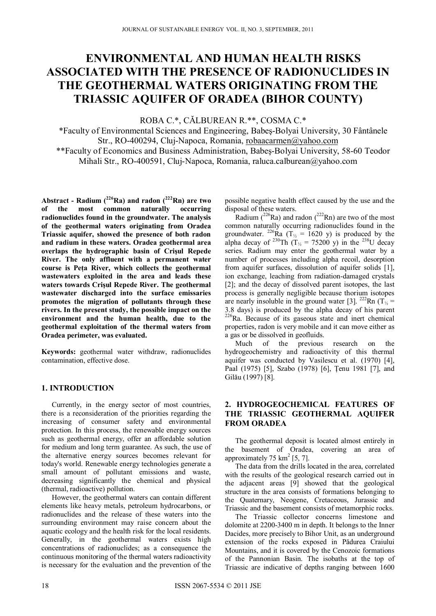# **ENVIRONMENTAL AND HUMAN HEALTH RISKS ASSOCIATED WITH THE PRESENCE OF RADIONUCLIDES IN THE GEOTHERMAL WATERS ORIGINATING FROM THE TRIASSIC AQUIFER OF ORADEA (BIHOR COUNTY)**

ROBA C.\*, CĂLBUREAN R.\*\*, COSMA C.\*

\*Faculty of Environmental Sciences and Engineering, Babeş-Bolyai University, 30 Fântânele Str., RO-400294, Cluj-Napoca, Romania, robaacarmen@yahoo.com \*\*Faculty of Economics and Business Administration, Babeş-Bolyai University, 58-60 Teodor Mihali Str., RO-400591, Cluj-Napoca, Romania, raluca.calburean@yahoo.com

**Abstract - Radium (226Ra) and radon (222Rn) are two of the most common naturally occurring radionuclides found in the groundwater. The analysis of the geothermal waters originating from Oradea Triassic aquifer, showed the presence of both radon and radium in these waters. Oradea geothermal area overlaps the hydrographic basin of Crişul Repede River. The only affluent with a permanent water course is Peţa River, which collects the geothermal wastewaters exploited in the area and leads these waters towards Crişul Repede River. The geothermal wastewater discharged into the surface emissaries promotes the migration of pollutants through these rivers. In the present study, the possible impact on the environment and the human health, due to the geothermal exploitation of the thermal waters from Oradea perimeter, was evaluated.** 

**Keywords:** geothermal water withdraw, radionuclides contamination, effective dose.

# **1. INTRODUCTION**

Currently, in the energy sector of most countries, there is a reconsideration of the priorities regarding the increasing of consumer safety and environmental protection. In this process, the renewable energy sources such as geothermal energy, offer an affordable solution for medium and long term guarantee. As such, the use of the alternative energy sources becomes relevant for today's world. Renewable energy technologies generate a small amount of pollutant emissions and waste, decreasing significantly the chemical and physical (thermal, radioactive) pollution.

However, the geothermal waters can contain different elements like heavy metals, petroleum hydrocarbons, or radionuclides and the release of these waters into the surrounding environment may raise concern about the aquatic ecology and the health risk for the local residents. Generally, in the geothermal waters exists high concentrations of radionuclides; as a consequence the continuous monitoring of the thermal waters radioactivity is necessary for the evaluation and the prevention of the

possible negative health effect caused by the use and the disposal of these waters.

Radium ( $^{226}$ Ra) and radon ( $^{222}$ Rn) are two of the most common naturally occurring radionuclides found in the groundwater. <sup>226</sup>Ra (T<sub>½</sub> = 1620 y) is produced by the alpha decay of <sup>230</sup>Th (T<sub>1/2</sub> = 75200 y) in the <sup>238</sup>U decay series. Radium may enter the geothermal water by a number of processes including alpha recoil, desorption from aquifer surfaces, dissolution of aquifer solids [1], ion exchange, leaching from radiation-damaged crystals [2]; and the decay of dissolved parent isotopes, the last process is generally negligible because thorium isotopes are nearly insoluble in the ground water [3]. <sup>222</sup>Rn ( $T<sub>\frac{1}{2}</sub>$ ) 3.8 days) is produced by the alpha decay of his parent 226Ra. Because of its gaseous state and inert chemical properties, radon is very mobile and it can move either as a gas or be dissolved in geofluids.

Much of the previous research on the hydrogeochemistry and radioactivity of this thermal aquifer was conducted by Vasilescu et al. (1970) [4], Paal (1975) [5], Szabo (1978) [6], Ţenu 1981 [7], and Gilău (1997) [8].

# **2. HYDROGEOCHEMICAL FEATURES OF THE TRIASSIC GEOTHERMAL AQUIFER FROM ORADEA**

The geothermal deposit is located almost entirely in the basement of Oradea, covering an area of approximately  $75 \text{ km}^2$  [5, 7].

The data from the drills located in the area, correlated with the results of the geological research carried out in the adjacent areas [9] showed that the geological structure in the area consists of formations belonging to the Quaternary, Neogene, Cretaceous, Jurassic and Triassic and the basement consists of metamorphic rocks.

The Triassic collector concerns limestone and dolomite at 2200-3400 m in depth. It belongs to the Inner Dacides, more precisely to Bihor Unit, as an underground extension of the rocks exposed in Pădurea Craiului Mountains, and it is covered by the Cenozoic formations of the Pannonian Basin. The isobaths at the top of Triassic are indicative of depths ranging between 1600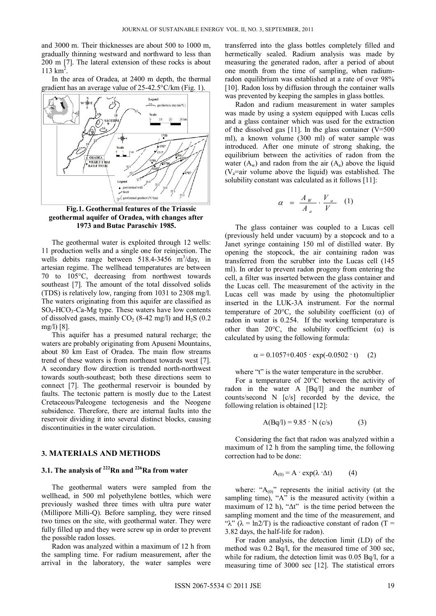and 3000 m. Their thicknesses are about 500 to 1000 m, gradually thinning westward and northward to less than 200 m [7]. The lateral extension of these rocks is about  $113 \text{ km}^2$ .

In the area of Oradea, at 2400 m depth, the thermal gradient has an average value of 25-42.5°C/km (Fig. 1).



**Fig.1. Geothermal features of the Triassic geothermal aquifer of Oradea, with changes after 1973 and Butac Paraschiv 1985.** 

The geothermal water is exploited through 12 wells: 11 production wells and a single one for reinjection. The wells debits range between  $518.4 - 3456$  m<sup>3</sup>/day, in artesian regime. The wellhead temperatures are between 70 to 105°C, decreasing from northwest towards southeast [7]. The amount of the total dissolved solids (TDS) is relatively low, ranging from 1031 to 2308 mg/l. The waters originating from this aquifer are classified as  $SO_4$ -HCO<sub>3</sub>-Ca-Mg type. These waters have low contents of dissolved gases, mainly  $CO<sub>2</sub>$  (8-42 mg/l) and H<sub>2</sub>S (0.2) mg/l) [8].

This aquifer has a presumed natural recharge; the waters are probably originating from Apuseni Mountains, about 80 km East of Oradea. The main flow streams trend of these waters is from northeast towards west [7]. A secondary flow direction is trended north-northwest towards south-southeast; both these directions seem to connect [7]. The geothermal reservoir is bounded by faults. The tectonic pattern is mostly due to the Latest Cretaceous/Paleogene tectogenesis and the Neogene subsidence. Therefore, there are internal faults into the reservoir dividing it into several distinct blocks, causing discontinuities in the water circulation.

#### **3. MATERIALS AND METHODS**

# **3.1. The analysis of 222Rn and 226Ra from water**

The geothermal waters were sampled from the wellhead, in 500 ml polyethylene bottles, which were previously washed three times with ultra pure water (Millipore Milli-Q). Before sampling, they were rinsed two times on the site, with geothermal water. They were fully filled up and they were screw up in order to prevent the possible radon losses.

Radon was analyzed within a maximum of 12 h from the sampling time. For radium measurement, after the arrival in the laboratory, the water samples were transferred into the glass bottles completely filled and hermetically sealed. Radium analysis was made by measuring the generated radon, after a period of about one month from the time of sampling, when radiumradon equilibrium was established at a rate of over 98% [10]. Radon loss by diffusion through the container walls was prevented by keeping the samples in glass bottles.

Radon and radium measurement in water samples was made by using a system equipped with Lucas cells and a glass container which was used for the extraction of the dissolved gas  $[11]$ . In the glass container (V=500) ml), a known volume (300 ml) of water sample was introduced. After one minute of strong shaking, the equilibrium between the activities of radon from the water  $(A_w)$  and radon from the air  $(A_a)$  above the liquid  $(V_a$ =air volume above the liquid) was established. The solubility constant was calculated as it follows [11]:

$$
\alpha = \frac{A_W}{A_a} \cdot \frac{V_a}{V} \quad (1)
$$

The glass container was coupled to a Lucas cell (previously held under vacuum) by a stopcock and to a Janet syringe containing 150 ml of distilled water. By opening the stopcock, the air containing radon was transferred from the scrubber into the Lucas cell (145 ml). In order to prevent radon progeny from entering the cell, a filter was inserted between the glass container and the Lucas cell. The measurement of the activity in the Lucas cell was made by using the photomultiplier inserted in the LUK-3A instrument. For the normal temperature of 20 $^{\circ}$ C, the solubility coefficient ( $\alpha$ ) of radon in water is 0.254. If the working temperature is other than 20 $^{\circ}$ C, the solubility coefficient ( $\alpha$ ) is calculated by using the following formula:

$$
\alpha = 0.1057 + 0.405 \cdot \exp(-0.0502 \cdot t) \quad (2)
$$

where "t" is the water temperature in the scrubber.

For a temperature of 20°C between the activity of radon in the water A [Bq/l] and the number of counts/second N [c/s] recorded by the device, the following relation is obtained [12]:

$$
A(Bq/l) = 9.85 \cdot N(c/s)
$$
 (3)

Considering the fact that radon was analyzed within a maximum of 12 h from the sampling time, the following correction had to be done:

$$
A_{(0)} = A \cdot \exp(\lambda \cdot \Delta t) \tag{4}
$$

where: " $A_{(0)}$ " represents the initial activity (at the sampling time), "A" is the measured activity (within a maximum of 12 h), " $\Delta t$ " is the time period between the sampling moment and the time of the measurement, and "λ" ( $\lambda = \ln 2/T$ ) is the radioactive constant of radon (T = 3.82 days, the half-life for radon).

For radon analysis, the detection limit (LD) of the method was 0.2 Bq/l, for the measured time of 300 sec, while for radium, the detection limit was 0.05 Bq/l, for a measuring time of 3000 sec [12]. The statistical errors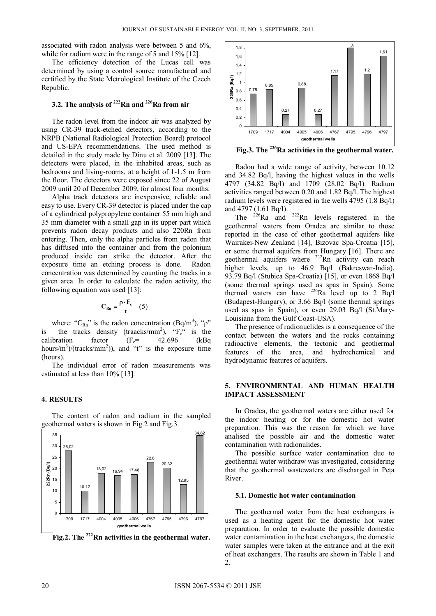associated with radon analysis were between 5 and 6%, while for radium were in the range of 5 and 15% [12].

The efficiency detection of the Lucas cell was determined by using a control source manufactured and certified by the State Metrological Institute of the Czech Republic.

## **3.2. The analysis of 222Rn and 226Ra from air**

The radon level from the indoor air was analyzed by using CR-39 track-etched detectors, according to the NRPB (National Radiological Protection Board) protocol and US-EPA recommendations. The used method is detailed in the study made by Dinu et al. 2009 [13]. The detectors were placed, in the inhabited areas, such as bedrooms and living-rooms, at a height of 1-1.5 m from the floor. The detectors were exposed since 22 of August 2009 until 20 of December 2009, for almost four months.

Alpha track detectors are inexpensive, reliable and easy to use. Every CR-39 detector is placed under the cap of a cylindrical polypropylene container 55 mm high and 35 mm diameter with a small gap in its upper part which prevents radon decay products and also 220Rn from entering. Then, only the alpha particles from radon that has diffused into the container and from the polonium produced inside can strike the detector. After the exposure time an etching process is done. Radon concentration was determined by counting the tracks in a given area. In order to calculate the radon activity, the following equation was used [13]:

$$
C_{Rn} = \frac{\rho \cdot F_c}{t} \quad (5)
$$

where: " $C_{Rn}$ " is the radon concentration (Bq/m<sup>3</sup>), " $\rho$ " is the tracks density (traacks/mm<sup>2</sup>),  $F_c$ <sup>"</sup> is the calibration factor  $(F_c = 42.696$  (kBq hours/m<sup>3</sup>)/(tracks/mm<sup>2</sup>)), and "t" is the exposure time (hours).

The individual error of radon measurements was estimated at less than 10% [13].

### **4. RESULTS**

The content of radon and radium in the sampled geothermal waters is shown in Fig.2 and Fig.3.



Fig.2. The <sup>222</sup>Rn activities in the geothermal water.



Fig.3. The <sup>226</sup>Ra activities in the geothermal water.

Radon had a wide range of activity, between 10.12 and 34.82 Bq/l, having the highest values in the wells 4797 (34.82 Bq/l) and 1709 (28.02 Bq/l). Radium activities ranged between 0.20 and 1.82 Bq/l. The highest radium levels were registered in the wells 4795 (1.8 Bq/l) and 4797 (1.61 Bq/l).

The  $226$ Ra and  $222$ Rn levels registered in the geothermal waters from Oradea are similar to those reported in the case of other geothermal aquifers like Wairakei-New Zealand [14], Bizovac Spa-Croatia [15], or some thermal aquifers from Hungary [16]. There are geothermal aquifers where <sup>222</sup>Rn activity can reach higher levels, up to 46.9 Bq/l (Bakreswar-India), 93.79 Bq/l (Stubica Spa-Croatia) [15], or even 1868 Bq/l (some thermal springs used as spas in Spain). Some thermal waters can have  $^{226}$ Ra level up to 2 Bq/l (Budapest-Hungary), or 3.66 Bq/l (some thermal springs used as spas in Spain), or even 29.03 Bq/l (St.Mary-Louisiana from the Gulf Coast-USA).

The presence of radionuclides is a consequence of the contact between the waters and the rocks containing radioactive elements, the tectonic and geothermal features of the area, and hydrochemical and hydrodynamic features of aquifers.

#### **5. ENVIRONMENTAL AND HUMAN HEALTH IMPACT ASSESSMENT**

In Oradea, the geothermal waters are either used for the indoor heating or for the domestic hot water preparation. This was the reason for which we have analised the possible air and the domestic water contamination with radionulides.

The possible surface water contamination due to geothermal water withdraw was investigated, considering that the geothermal wastewaters are discharged in Peţa River.

#### **5.1. Domestic hot water contamination**

The geothermal water from the heat exchangers is used as a heating agent for the domestic hot water preparation. In order to evaluate the possible domestic water contamination in the heat exchangers, the domestic water samples were taken at the entrance and at the exit of heat exchangers. The results are shown in Table 1 and 2.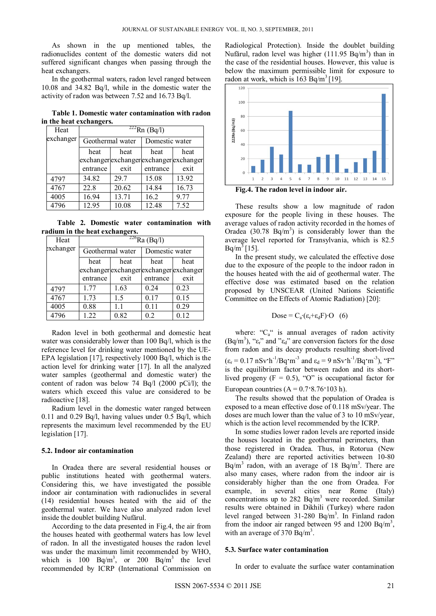As shown in the up mentioned tables, the radionuclides content of the domestic waters did not suffered significant changes when passing through the heat exchangers.

In the geothermal waters, radon level ranged between 10.08 and 34.82 Bq/l, while in the domestic water the activity of radon was between 7.52 and 16.73 Bq/l.

**Table 1. Domestic water contamination with radon in the heat exchangers.** 

| Heat      | $^{222}$ Rn (Bq/l) |       |                                         |       |  |
|-----------|--------------------|-------|-----------------------------------------|-------|--|
| exchanger | Geothermal water   |       | Domestic water                          |       |  |
|           | heat               | heat  | heat                                    | heat  |  |
|           |                    |       | exchanger exchanger exchanger exchanger |       |  |
|           | entrance           | exit  | entrance                                | exit  |  |
| 4797      | 34.82              | 29.7  | 15.08                                   | 13.92 |  |
| 4767      | 22.8               | 20.62 | 14.84                                   | 16.73 |  |
| 4005      | 16.94              | 13.71 | 16.2                                    | 9.77  |  |
| 4796      | 12.95              | 10.08 | 12.48                                   | 7.52  |  |

 **Table 2. Domestic water contamination with radium in the heat exchangers.** 

| Heat      | $^{226}$ Ra (Bq/l) |      |                |                                         |  |  |
|-----------|--------------------|------|----------------|-----------------------------------------|--|--|
| exchanger | Geothermal water   |      | Domestic water |                                         |  |  |
|           | heat               | heat | heat           | heat                                    |  |  |
|           |                    |      |                | exchanger exchanger exchanger exchanger |  |  |
|           | entrance           | exit | entrance       | exit                                    |  |  |
| 4797      | 1.77               | 1.63 | 0.24           | 0.23                                    |  |  |
| 4767      | 1.73               | 1.5  | 0.17           | 0.15                                    |  |  |
| 4005      | 0.88               | 1.1  | 0.11           | 0.29                                    |  |  |
| 4796      | 1.22               | 0.82 | 0.2            | 0.12                                    |  |  |

Radon level in both geothermal and domestic heat water was considerably lower than 100 Bq/l, which is the reference level for drinking water mentioned by the UE-EPA legislation [17], respectively 1000 Bq/l, which is the action level for drinking water [17]. In all the analyzed water samples (geothermal and domestic water) the content of radon was below 74 Bq/l (2000 pCi/l); the waters which exceed this value are considered to be radioactive [18].

Radium level in the domestic water ranged between 0.11 and 0.29 Bq/l, having values under 0.5 Bq/l, which represents the maximum level recommended by the EU legislation [17].

#### **5.2. Indoor air contamination**

In Oradea there are several residential houses or public institutions heated with geothermal waters. Considering this, we have investigated the possible indoor air contamination with radionuclides in several (14) residential houses heated with the aid of the geothermal water. We have also analyzed radon level inside the doublet building Nufărul.

According to the data presented in Fig.4, the air from the houses heated with geothermal waters has low level of radon. In all the investigated houses the radon level was under the maximum limit recommended by WHO, which is 100  $Bq/m^3$ , or 200  $Bq/m^3$  the level recommended by ICRP (International Commission on

Radiological Protection). Inside the doublet building Nufărul, radon level was higher (111.95 Bq/m<sup>3</sup>) than in the case of the residential houses. However, this value is below the maximum permissible limit for exposure to radon at work, which is  $163$  Bq/m<sup>3</sup> [19].



**Fig.4. The radon level in indoor air.** 

These results show a low magnitude of radon exposure for the people living in these houses. The average values of radon activity recorded in the homes of Oradea  $(30.78 \text{ Bq/m}^3)$  is considerably lower than the average level reported for Transylvania, which is 82.5  $Bq/m^3$  [15].

In the present study, we calculated the effective dose due to the exposure of the people to the indoor radon in the houses heated with the aid of geothermal water. The effective dose was estimated based on the relation proposed by UNSCEAR (United Nations Scientific Committee on the Effects of Atomic Radiation) [20]:

$$
Dose = C_a \cdot (\varepsilon_r + \varepsilon_d F) \cdot O \quad (6)
$$

where: " $C_a$ " is annual averages of radon activity (Bq/m<sup>3</sup>), " $\epsilon_r$ " and " $\epsilon_d$ " are conversion factors for the dose from radon and its decay products resulting short-lived  $(\varepsilon_r = 0.17 \text{ nSv} \cdot \text{h}^{-1}/\text{Bq} \cdot \text{m}^{-3}$  and  $\varepsilon_d = 9 \text{ nSv} \cdot \text{h}^{-1}/\text{Bq} \cdot \text{m}^{-3}$ , "F" is the equilibrium factor between radon and its shortlived progeny  $(F = 0.5)$ , "O" is occupational factor for European countries  $(A = 0.7 \cdot 8.76 \cdot 103 h)$ .

The results showed that the population of Oradea is exposed to a mean effective dose of 0.118 mSv/year. The doses are much lower than the value of 3 to 10 mSv/year, which is the action level recommended by the ICRP.

In some studies lower radon levels are reported inside the houses located in the geothermal perimeters, than those registered in Oradea. Thus, in Rotorua (New Zealand) there are reported activities between 10-80  $Bq/m<sup>3</sup>$  radon, with an average of 18  $Bq/m<sup>3</sup>$ . There are also many cases, where radon from the indoor air is considerably higher than the one from Oradea. For example, in several cities near Rome (Italy) concentrations up to  $282$  Bq/m<sup>3</sup> were recorded. Similar results were obtained in Dikhili (Turkey) where radon level ranged between  $31-280$  Bq/m<sup>3</sup>. In Finland radon from the indoor air ranged between 95 and 1200 Bq/m<sup>3</sup>, with an average of 370  $\text{Bq/m}^3$ .

#### **5.3. Surface water contamination**

In order to evaluate the surface water contamination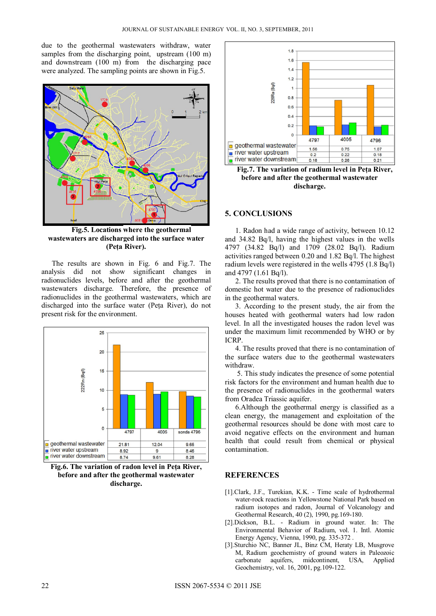due to the geothermal wastewaters withdraw, water samples from the discharging point, upstream (100 m) and downstream (100 m) from the discharging pace were analyzed. The sampling points are shown in Fig.5.



**Fig.5. Locations where the geothermal wastewaters are discharged into the surface water (Peţa River).**

The results are shown in Fig. 6 and Fig.7. The analysis did not show significant changes in radionuclides levels, before and after the geothermal wastewaters discharge. Therefore, the presence of radionuclides in the geothermal wastewaters, which are discharged into the surface water (Peţa River), do not present risk for the environment.



**Fig.6. The variation of radon level in Peţa River, before and after the geothermal wastewater discharge.** 



**Fig.7. The variation of radium level in Peţa River, before and after the geothermal wastewater discharge.** 

## **5. CONCLUSIONS**

1. Radon had a wide range of activity, between 10.12 and 34.82 Bq/l, having the highest values in the wells 4797 (34.82 Bq/l) and 1709 (28.02 Bq/l). Radium activities ranged between 0.20 and 1.82 Bq/l. The highest radium levels were registered in the wells 4795 (1.8 Bq/l) and 4797 (1.61 Bq/l).

2. The results proved that there is no contamination of domestic hot water due to the presence of radionuclides in the geothermal waters.

3. According to the present study, the air from the houses heated with geothermal waters had low radon level. In all the investigated houses the radon level was under the maximum limit recommended by WHO or by ICRP.

4. The results proved that there is no contamination of the surface waters due to the geothermal wastewaters withdraw.

 5. This study indicates the presence of some potential risk factors for the environment and human health due to the presence of radionuclides in the geothermal waters from Oradea Triassic aquifer.

6.Although the geothermal energy is classified as a clean energy, the management and exploitation of the geothermal resources should be done with most care to avoid negative effects on the environment and human health that could result from chemical or physical contamination.

## **REFERENCES**

- [1].Clark, J.F., Turekian, K.K. Time scale of hydrothermal water-rock reactions in Yellowstone National Park based on radium isotopes and radon, Journal of Volcanology and Geothermal Research, 40 (2), 1990, pg.169-180.
- [2].Dickson, B.L. Radium in ground water. In: The Environmental Behavior of Radium, vol. 1. Intl. Atomic Energy Agency, Vienna, 1990, pg. 335-372 .
- [3].Sturchio NC, Banner JL, Binz CM, Heraty LB, Musgrove M, Radium geochemistry of ground waters in Paleozoic carbonate aquifers, midcontinent, USA, Applied Geochemistry, vol. 16, 2001, pg.109-122.